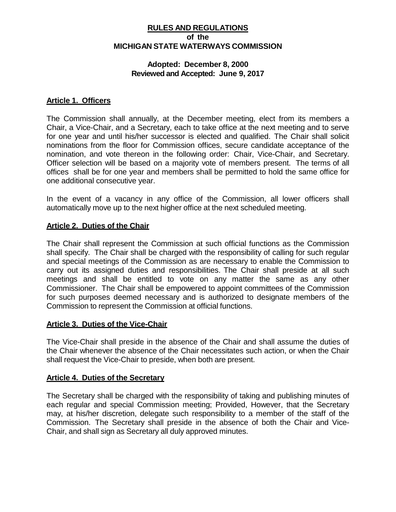## **RULES AND REGULATIONS of the MICHIGAN STATE WATERWAYS COMMISSION**

#### **Adopted: December 8, 2000 Reviewed and Accepted: June 9, 2017**

#### **Article 1. Officers**

The Commission shall annually, at the December meeting, elect from its members a Chair, a Vice-Chair, and a Secretary, each to take office at the next meeting and to serve for one year and until his/her successor is elected and qualified. The Chair shall solicit nominations from the floor for Commission offices, secure candidate acceptance of the nomination, and vote thereon in the following order: Chair, Vice-Chair, and Secretary. Officer selection will be based on a majority vote of members present. The terms of all offices shall be for one year and members shall be permitted to hold the same office for one additional consecutive year.

In the event of a vacancy in any office of the Commission, all lower officers shall automatically move up to the next higher office at the next scheduled meeting.

#### **Article 2. Duties of the Chair**

The Chair shall represent the Commission at such official functions as the Commission shall specify. The Chair shall be charged with the responsibility of calling for such regular and special meetings of the Commission as are necessary to enable the Commission to carry out its assigned duties and responsibilities. The Chair shall preside at all such meetings and shall be entitled to vote on any matter the same as any other Commissioner. The Chair shall be empowered to appoint committees of the Commission for such purposes deemed necessary and is authorized to designate members of the Commission to represent the Commission at official functions.

#### **Article 3. Duties of the Vice-Chair**

The Vice-Chair shall preside in the absence of the Chair and shall assume the duties of the Chair whenever the absence of the Chair necessitates such action, or when the Chair shall request the Vice-Chair to preside, when both are present.

### **Article 4. Duties of the Secretary**

The Secretary shall be charged with the responsibility of taking and publishing minutes of each regular and special Commission meeting; Provided, However, that the Secretary may, at his/her discretion, delegate such responsibility to a member of the staff of the Commission. The Secretary shall preside in the absence of both the Chair and Vice-Chair, and shall sign as Secretary all duly approved minutes.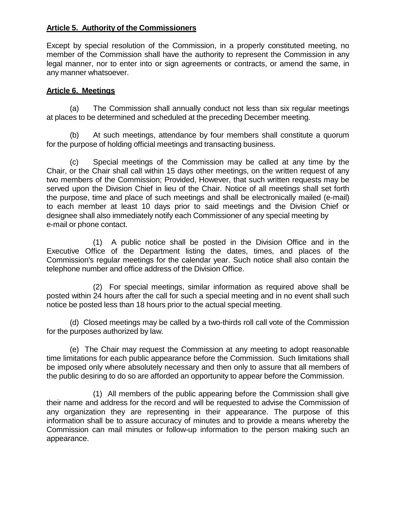## **Article 5. Authority of the Commissioners**

Except by special resolution of the Commission, in a properly constituted meeting, no member of the Commission shall have the authority to represent the Commission in any legal manner, nor to enter into or sign agreements or contracts, or amend the same, in any manner whatsoever.

## **Article 6. Meetings**

(a) The Commission shall annually conduct not less than six regular meetings at places to be determined and scheduled at the preceding December meeting.

(b) At such meetings, attendance by four members shall constitute a quorum for the purpose of holding official meetings and transacting business.

(c) Special meetings of the Commission may be called at any time by the Chair, or the Chair shall call within 15 days other meetings, on the written request of any two members of the Commission; Provided, However, that such written requests may be served upon the Division Chief in lieu of the Chair. Notice of all meetings shall set forth the purpose, time and place of such meetings and shall be electronically mailed (e-mail) to each member at least 10 days prior to said meetings and the Division Chief or designee shall also immediately notify each Commissioner of any special meeting by e-mail or phone contact.

(1) A public notice shall be posted in the Division Office and in the Executive Office of the Department listing the dates, times, and places of the Commission's regular meetings for the calendar year. Such notice shall also contain the telephone number and office address of the Division Office.

(2) For special meetings, similar information as required above shall be posted within 24 hours after the call for such a special meeting and in no event shall such notice be posted less than 18 hours prior to the actual special meeting.

(d) Closed meetings may be called by a two-thirds roll call vote of the Commission for the purposes authorized by law.

(e) The Chair may request the Commission at any meeting to adopt reasonable time limitations for each public appearance before the Commission. Such limitations shall be imposed only where absolutely necessary and then only to assure that all members of the public desiring to do so are afforded an opportunity to appear before the Commission.

(1) All members of the public appearing before the Commission shall give their name and address for the record and will be requested to advise the Commission of any organization they are representing in their appearance. The purpose of this information shall be to assure accuracy of minutes and to provide a means whereby the Commission can mail minutes or follow-up information to the person making such an appearance.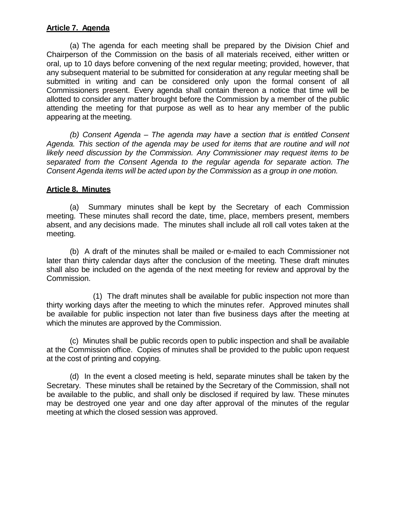## **Article 7. Agenda**

(a) The agenda for each meeting shall be prepared by the Division Chief and Chairperson of the Commission on the basis of all materials received, either written or oral, up to 10 days before convening of the next regular meeting; provided, however, that any subsequent material to be submitted for consideration at any regular meeting shall be submitted in writing and can be considered only upon the formal consent of all Commissioners present. Every agenda shall contain thereon a notice that time will be allotted to consider any matter brought before the Commission by a member of the public attending the meeting for that purpose as well as to hear any member of the public appearing at the meeting.

*(b) Consent Agenda – The agenda may have a section that is entitled Consent Agenda. This section of the agenda may be used for items that are routine and will not likely need discussion by the Commission. Any Commissioner may request items to be separated from the Consent Agenda to the regular agenda for separate action. The Consent Agenda items will be acted upon by the Commission as a group in one motion.*

## **Article 8. Minutes**

(a) Summary minutes shall be kept by the Secretary of each Commission meeting. These minutes shall record the date, time, place, members present, members absent, and any decisions made. The minutes shall include all roll call votes taken at the meeting.

(b) A draft of the minutes shall be mailed or e-mailed to each Commissioner not later than thirty calendar days after the conclusion of the meeting. These draft minutes shall also be included on the agenda of the next meeting for review and approval by the Commission.

(1) The draft minutes shall be available for public inspection not more than thirty working days after the meeting to which the minutes refer. Approved minutes shall be available for public inspection not later than five business days after the meeting at which the minutes are approved by the Commission.

(c) Minutes shall be public records open to public inspection and shall be available at the Commission office. Copies of minutes shall be provided to the public upon request at the cost of printing and copying.

(d) In the event a closed meeting is held, separate minutes shall be taken by the Secretary. These minutes shall be retained by the Secretary of the Commission, shall not be available to the public, and shall only be disclosed if required by law. These minutes may be destroyed one year and one day after approval of the minutes of the regular meeting at which the closed session was approved.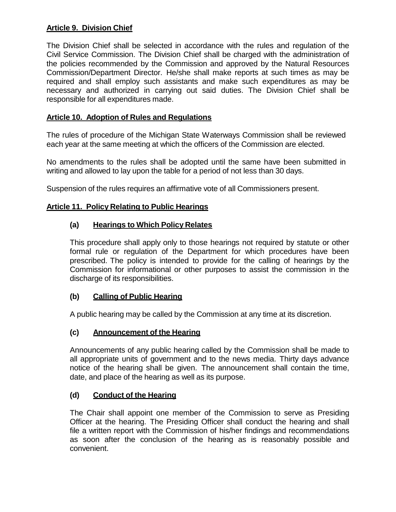## **Article 9. Division Chief**

The Division Chief shall be selected in accordance with the rules and regulation of the Civil Service Commission. The Division Chief shall be charged with the administration of the policies recommended by the Commission and approved by the Natural Resources Commission/Department Director. He/she shall make reports at such times as may be required and shall employ such assistants and make such expenditures as may be necessary and authorized in carrying out said duties. The Division Chief shall be responsible for all expenditures made.

## **Article 10. Adoption of Rules and Regulations**

The rules of procedure of the Michigan State Waterways Commission shall be reviewed each year at the same meeting at which the officers of the Commission are elected.

No amendments to the rules shall be adopted until the same have been submitted in writing and allowed to lay upon the table for a period of not less than 30 days.

Suspension of the rules requires an affirmative vote of all Commissioners present.

### **Article 11. Policy Relating to Public Hearings**

### **(a) Hearings to Which Policy Relates**

This procedure shall apply only to those hearings not required by statute or other formal rule or regulation of the Department for which procedures have been prescribed. The policy is intended to provide for the calling of hearings by the Commission for informational or other purposes to assist the commission in the discharge of its responsibilities.

### **(b) Calling of Public Hearing**

A public hearing may be called by the Commission at any time at its discretion.

## **(c) Announcement of the Hearing**

Announcements of any public hearing called by the Commission shall be made to all appropriate units of government and to the news media. Thirty days advance notice of the hearing shall be given. The announcement shall contain the time, date, and place of the hearing as well as its purpose.

### **(d) Conduct of the Hearing**

The Chair shall appoint one member of the Commission to serve as Presiding Officer at the hearing. The Presiding Officer shall conduct the hearing and shall file a written report with the Commission of his/her findings and recommendations as soon after the conclusion of the hearing as is reasonably possible and convenient.